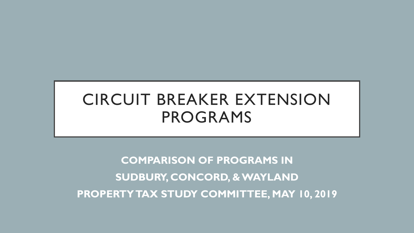# CIRCUIT BREAKER EXTENSION PROGRAMS

**COMPARISON OF PROGRAMS IN SUDBURY, CONCORD, & WAYLAND PROPERTY TAX STUDY COMMITTEE, MAY 10, 2019**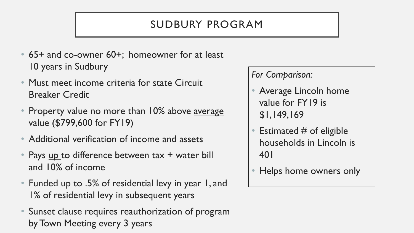## SUDBURY PROGRAM

- 65+ and co-owner 60+; homeowner for at least 10 years in Sudbury
- Must meet income criteria for state Circuit Breaker Credit
- Property value no more than 10% above average value (\$799,600 for FY19)
- Additional verification of income and assets
- Pays up to difference between tax + water bill and 10% of income
- Funded up to .5% of residential levy in year 1, and 1% of residential levy in subsequent years
- Sunset clause requires reauthorization of program by Town Meeting every 3 years

#### *For Comparison:*

- Average Lincoln home value for FY19 is \$1,149,169
- Estimated  $#$  of eligible households in Lincoln is 401
- Helps home owners only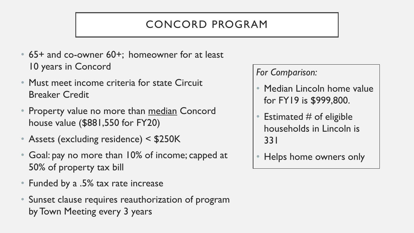## CONCORD PROGRAM

- 65+ and co-owner 60+; homeowner for at least 10 years in Concord
- Must meet income criteria for state Circuit Breaker Credit
- Property value no more than median Concord house value (\$881,550 for FY20)
- Assets (excluding residence) < \$250K
- Goal: pay no more than 10% of income; capped at 50% of property tax bill
- Funded by a .5% tax rate increase
- Sunset clause requires reauthorization of program by Town Meeting every 3 years

*For Comparison:*

- Median Lincoln home value for FY19 is \$999,800.
- Estimated  $#$  of eligible households in Lincoln is 331
- Helps home owners only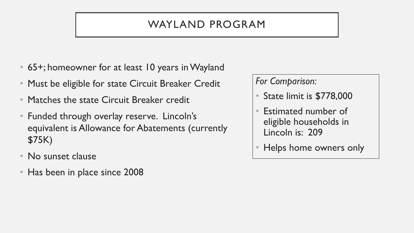#### WAYLAND PROGRAM

- 65+; homeowner for at least 10 years in Wayland
- Must be eligible for state Circuit Breaker Credit
- Matches the state Circuit Breaker credit
- Funded through overlay reserve. Lincoln's equivalent is Allowance for Abatements (currently \$75K)
- No sunset clause
- Has been in place since 2008

*For Comparison:*

- State limit is \$778,000
- Estimated number of eligible households in Lincoln is: 209
- Helps home owners only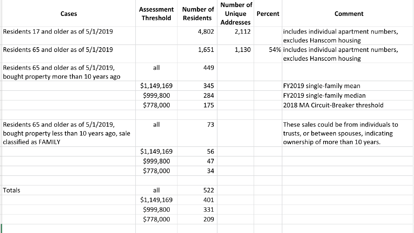| Cases                                                                                                          | <b>Assessment</b><br><b>Threshold</b> | <b>Number of</b><br><b>Residents</b> | Number of<br><b>Unique</b><br><b>Addresses</b> | Percent | <b>Comment</b>                                                                                                         |
|----------------------------------------------------------------------------------------------------------------|---------------------------------------|--------------------------------------|------------------------------------------------|---------|------------------------------------------------------------------------------------------------------------------------|
| Residents 17 and older as of 5/1/2019                                                                          |                                       | 4,802                                | 2,112                                          |         | includes individual apartment numbers,<br>excludes Hanscom housing                                                     |
| Residents 65 and older as of 5/1/2019                                                                          |                                       | 1,651                                | 1,130                                          |         | 54% includes individual apartment numbers,<br>excludes Hanscom housing                                                 |
| Residents 65 and older as of 5/1/2019,<br>bought property more than 10 years ago                               | all                                   | 449                                  |                                                |         |                                                                                                                        |
|                                                                                                                | \$1,149,169                           | 345                                  |                                                |         | FY2019 single-family mean                                                                                              |
|                                                                                                                | \$999,800                             | 284                                  |                                                |         | FY2019 single-family median                                                                                            |
|                                                                                                                | \$778,000                             | 175                                  |                                                |         | 2018 MA Circuit-Breaker threshold                                                                                      |
|                                                                                                                |                                       |                                      |                                                |         |                                                                                                                        |
| Residents 65 and older as of 5/1/2019,<br>bought property less than 10 years ago, sale<br>classified as FAMILY | all                                   | 73                                   |                                                |         | These sales could be from individuals to<br>trusts, or between spouses, indicating<br>ownership of more than 10 years. |
|                                                                                                                | \$1,149,169                           | 56                                   |                                                |         |                                                                                                                        |
|                                                                                                                | \$999,800                             | 47                                   |                                                |         |                                                                                                                        |
|                                                                                                                | \$778,000                             | 34                                   |                                                |         |                                                                                                                        |
|                                                                                                                |                                       |                                      |                                                |         |                                                                                                                        |
| Totals                                                                                                         | all                                   | 522                                  |                                                |         |                                                                                                                        |
|                                                                                                                | \$1,149,169                           | 401                                  |                                                |         |                                                                                                                        |
|                                                                                                                | \$999,800                             | 331                                  |                                                |         |                                                                                                                        |
|                                                                                                                | \$778,000                             | 209                                  |                                                |         |                                                                                                                        |
|                                                                                                                |                                       |                                      |                                                |         |                                                                                                                        |